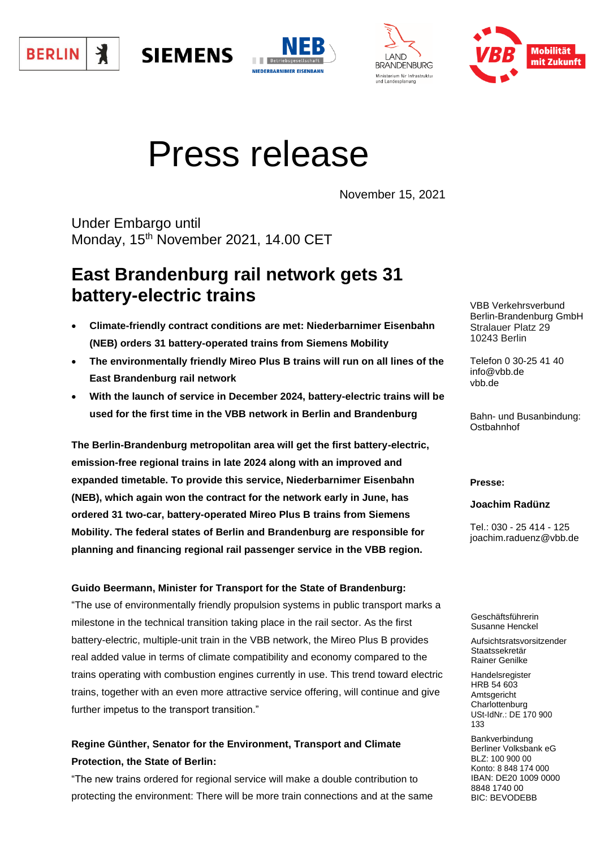







# Press release

November 15, 2021

Under Embargo until Monday, 15<sup>th</sup> November 2021, 14.00 CET

**SIEMENS** 

## **East Brandenburg rail network gets 31 battery-electric trains**

- **Climate-friendly contract conditions are met: Niederbarnimer Eisenbahn (NEB) orders 31 battery-operated trains from Siemens Mobility**
- **The environmentally friendly Mireo Plus B trains will run on all lines of the East Brandenburg rail network**
- **With the launch of service in December 2024, battery-electric trains will be used for the first time in the VBB network in Berlin and Brandenburg**

**The Berlin-Brandenburg metropolitan area will get the first battery-electric, emission-free regional trains in late 2024 along with an improved and expanded timetable. To provide this service, Niederbarnimer Eisenbahn (NEB), which again won the contract for the network early in June, has ordered 31 two-car, battery-operated Mireo Plus B trains from Siemens Mobility. The federal states of Berlin and Brandenburg are responsible for planning and financing regional rail passenger service in the VBB region.**

## **Guido Beermann, Minister for Transport for the State of Brandenburg:**

"The use of environmentally friendly propulsion systems in public transport marks a milestone in the technical transition taking place in the rail sector. As the first battery-electric, multiple-unit train in the VBB network, the Mireo Plus B provides real added value in terms of climate compatibility and economy compared to the trains operating with combustion engines currently in use. This trend toward electric trains, together with an even more attractive service offering, will continue and give further impetus to the transport transition."

## **Regine Günther, Senator for the Environment, Transport and Climate Protection, the State of Berlin:**

"The new trains ordered for regional service will make a double contribution to protecting the environment: There will be more train connections and at the same VBB Verkehrsverbund Berlin-Brandenburg GmbH Stralauer Platz 29 10243 Berlin

Telefon 0 30-25 41 40 info@vbb.de vbb.de

Bahn- und Busanbindung: **Ostbahnhof** 

## **Presse:**

**Joachim Radünz**

Tel.: 030 - 25 414 - 125 joachim.raduenz@vbb.de

Geschäftsführerin Susanne Henckel

Aufsichtsratsvorsitzender Staatssekretär Rainer Genilke

Handelsregister HRB 54 603 Amtsgericht **Charlottenburg** USt-IdNr.: DE 170 900 133

Bankverbindung Berliner Volksbank eG BLZ: 100 900 00 Konto: 8 848 174 000 IBAN: DE20 1009 0000 8848 1740 00 BIC: BEVODEBB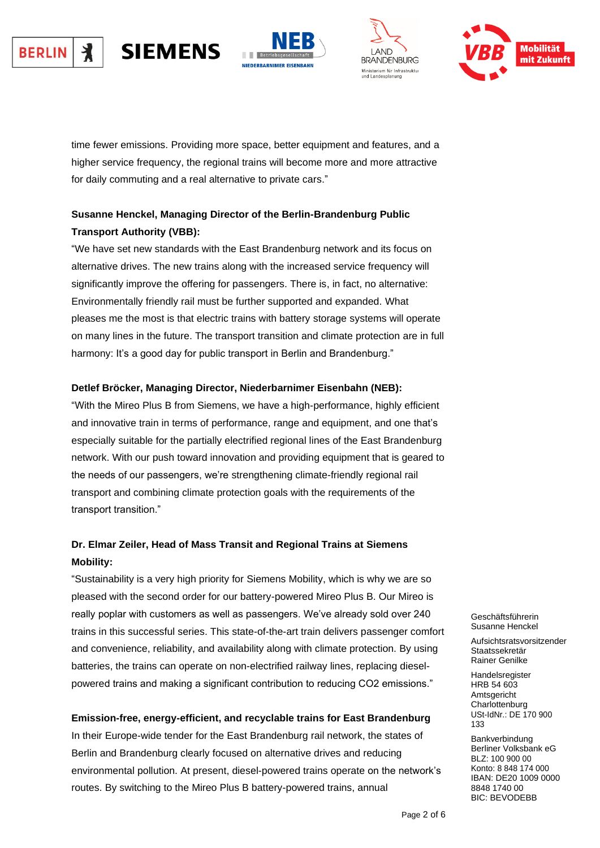#### 丬 **SIEMENS BERLIN**







time fewer emissions. Providing more space, better equipment and features, and a higher service frequency, the regional trains will become more and more attractive for daily commuting and a real alternative to private cars."

## **Susanne Henckel, Managing Director of the Berlin-Brandenburg Public Transport Authority (VBB):**

"We have set new standards with the East Brandenburg network and its focus on alternative drives. The new trains along with the increased service frequency will significantly improve the offering for passengers. There is, in fact, no alternative: Environmentally friendly rail must be further supported and expanded. What pleases me the most is that electric trains with battery storage systems will operate on many lines in the future. The transport transition and climate protection are in full harmony: It's a good day for public transport in Berlin and Brandenburg."

## **Detlef Bröcker, Managing Director, Niederbarnimer Eisenbahn (NEB):**

"With the Mireo Plus B from Siemens, we have a high-performance, highly efficient and innovative train in terms of performance, range and equipment, and one that's especially suitable for the partially electrified regional lines of the East Brandenburg network. With our push toward innovation and providing equipment that is geared to the needs of our passengers, we're strengthening climate-friendly regional rail transport and combining climate protection goals with the requirements of the transport transition."

## **Dr. Elmar Zeiler, Head of Mass Transit and Regional Trains at Siemens Mobility:**

"Sustainability is a very high priority for Siemens Mobility, which is why we are so pleased with the second order for our battery-powered Mireo Plus B. Our Mireo is really poplar with customers as well as passengers. We've already sold over 240 trains in this successful series. This state-of-the-art train delivers passenger comfort and convenience, reliability, and availability along with climate protection. By using batteries, the trains can operate on non-electrified railway lines, replacing dieselpowered trains and making a significant contribution to reducing CO2 emissions."

## **Emission-free, energy-efficient, and recyclable trains for East Brandenburg**

In their Europe-wide tender for the East Brandenburg rail network, the states of Berlin and Brandenburg clearly focused on alternative drives and reducing environmental pollution. At present, diesel-powered trains operate on the network's routes. By switching to the Mireo Plus B battery-powered trains, annual

Geschäftsführerin Geschäftsführerin Susanne Henckel Susanne Henckel

Aufsichtsratsvorsitzender Aufsichtsratsvorsitzender Staatssekretär Staatssekretär Rainer Genilke

Handelsregister HRB 54 603 HRB 54 603 Amtsgericht Amtsgericht Charlottenburg Charlottenburg USt-IdNr.: DE 170 900 Bankverbindung Berliner Handelsregister 133

**Bankverbindung** Berliner Volksbank eG BLZ: 100 900 00 IBAN: DE20 1009 0000 Konto: 8 848 174 000 8848 1740 00 IBAN: DE20 1009 0000 1DAN: DE20 1003 BIC: BEVODEBB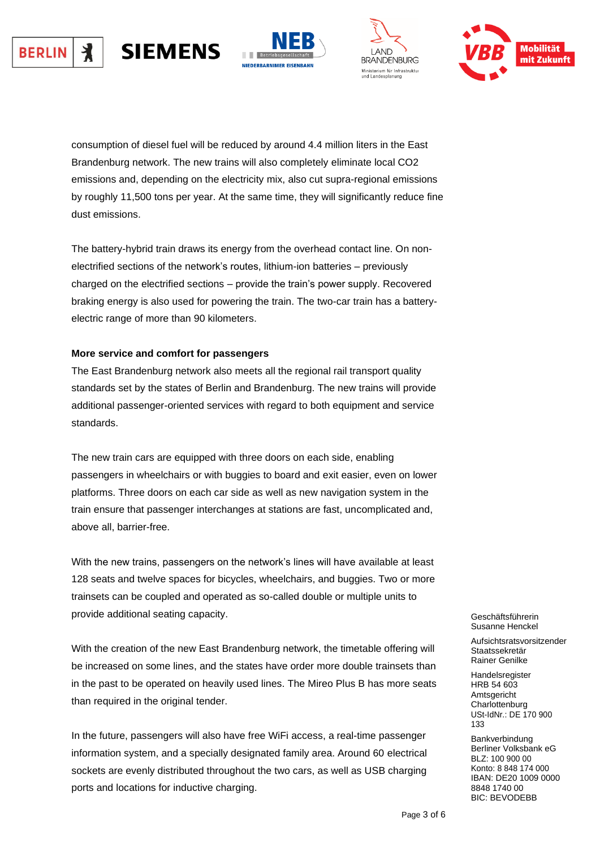







consumption of diesel fuel will be reduced by around 4.4 million liters in the East Brandenburg network. The new trains will also completely eliminate local CO2 emissions and, depending on the electricity mix, also cut supra-regional emissions by roughly 11,500 tons per year. At the same time, they will significantly reduce fine dust emissions.

The battery-hybrid train draws its energy from the overhead contact line. On nonelectrified sections of the network's routes, lithium-ion batteries – previously charged on the electrified sections – provide the train's power supply. Recovered braking energy is also used for powering the train. The two-car train has a batteryelectric range of more than 90 kilometers.

## **More service and comfort for passengers**

The East Brandenburg network also meets all the regional rail transport quality standards set by the states of Berlin and Brandenburg. The new trains will provide additional passenger-oriented services with regard to both equipment and service standards.

The new train cars are equipped with three doors on each side, enabling passengers in wheelchairs or with buggies to board and exit easier, even on lower platforms. Three doors on each car side as well as new navigation system in the train ensure that passenger interchanges at stations are fast, uncomplicated and, above all, barrier-free.

With the new trains, passengers on the network's lines will have available at least 128 seats and twelve spaces for bicycles, wheelchairs, and buggies. Two or more trainsets can be coupled and operated as so-called double or multiple units to provide additional seating capacity.

With the creation of the new East Brandenburg network, the timetable offering will be increased on some lines, and the states have order more double trainsets than in the past to be operated on heavily used lines. The Mireo Plus B has more seats than required in the original tender.

In the future, passengers will also have free WiFi access, a real-time passenger information system, and a specially designated family area. Around 60 electrical sockets are evenly distributed throughout the two cars, as well as USB charging ports and locations for inductive charging.

Geschäftsführerin Geschäftsführerin Susanne Henckel Susanne Henckel

Aufsichtsratsvorsitzender Aufsichtsratsvorsitzender Staatssekretär Staatssekretär Rainer Genilke

Handelsregister HRB 54 603 HRB 54 603 Amtsgericht Amtsgericht Charlottenburg Charlottenburg USt-IdNr.: DE 170 900 Bankverbindung Berliner Handelsregister 133

**Bankverbindung** Berliner Volksbank eG BLZ: 100 900 00 IBAN: DE20 1009 0000 Konto: 8 848 174 000 8848 1740 00 IBAN: DE20 1009 0000 1DAN: DE20 1003 BIC: BEVODEBB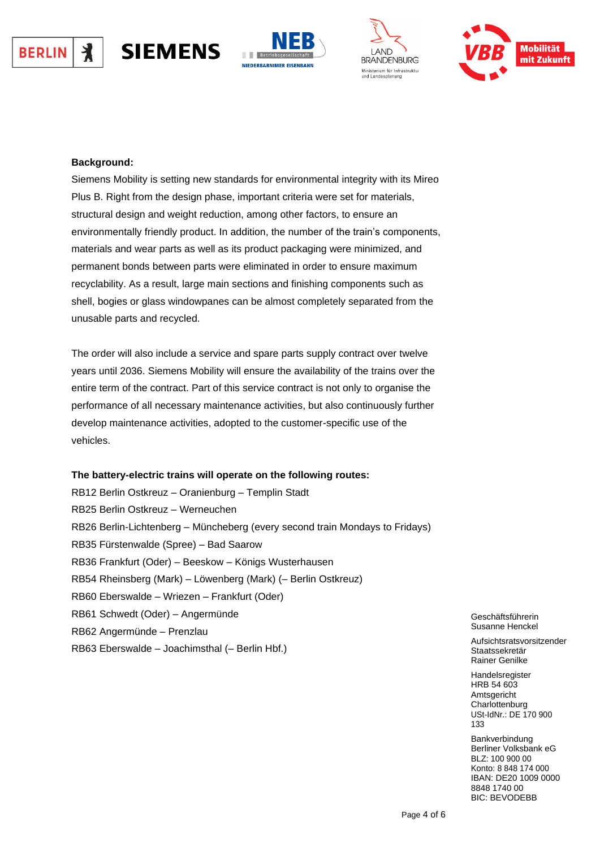







## **Background:**

**SIEMENS** 

Siemens Mobility is setting new standards for environmental integrity with its Mireo Plus B. Right from the design phase, important criteria were set for materials, structural design and weight reduction, among other factors, to ensure an environmentally friendly product. In addition, the number of the train's components, materials and wear parts as well as its product packaging were minimized, and permanent bonds between parts were eliminated in order to ensure maximum recyclability. As a result, large main sections and finishing components such as shell, bogies or glass windowpanes can be almost completely separated from the unusable parts and recycled.

The order will also include a service and spare parts supply contract over twelve years until 2036. Siemens Mobility will ensure the availability of the trains over the entire term of the contract. Part of this service contract is not only to organise the performance of all necessary maintenance activities, but also continuously further develop maintenance activities, adopted to the customer-specific use of the vehicles.

## **The battery-electric trains will operate on the following routes:**

RB12 Berlin Ostkreuz – Oranienburg – Templin Stadt RB25 Berlin Ostkreuz – Werneuchen RB26 Berlin-Lichtenberg – Müncheberg (every second train Mondays to Fridays) RB35 Fürstenwalde (Spree) – Bad Saarow RB36 Frankfurt (Oder) – Beeskow – Königs Wusterhausen RB54 Rheinsberg (Mark) – Löwenberg (Mark) (– Berlin Ostkreuz) RB60 Eberswalde – Wriezen – Frankfurt (Oder) RB61 Schwedt (Oder) – Angermünde RB62 Angermünde – Prenzlau RB63 Eberswalde – Joachimsthal (– Berlin Hbf.)

Geschäftsführerin Geschäftsführerin Susanne Henckel Susanne Henckel

Aufsichtsratsvorsitzender Aufsichtsratsvorsitzender Staatssekretär Staatssekretär Rainer Genilke

Handelsregister HRB 54 603 HRB 54 603 Amtsgericht Amtsgericht Charlottenburg Charlottenburg USt-IdNr.: DE 170 900 Bankverbindung Berliner Handelsregister 133

**Bankverbindung** Berliner Volksbank eG BLZ: 100 900 00 IBAN: DE20 1009 0000 Konto: 8 848 174 000 8848 1740 00 IBAN: DE20 1009 0000 1DAN: DE20 1003 BIC: BEVODEBB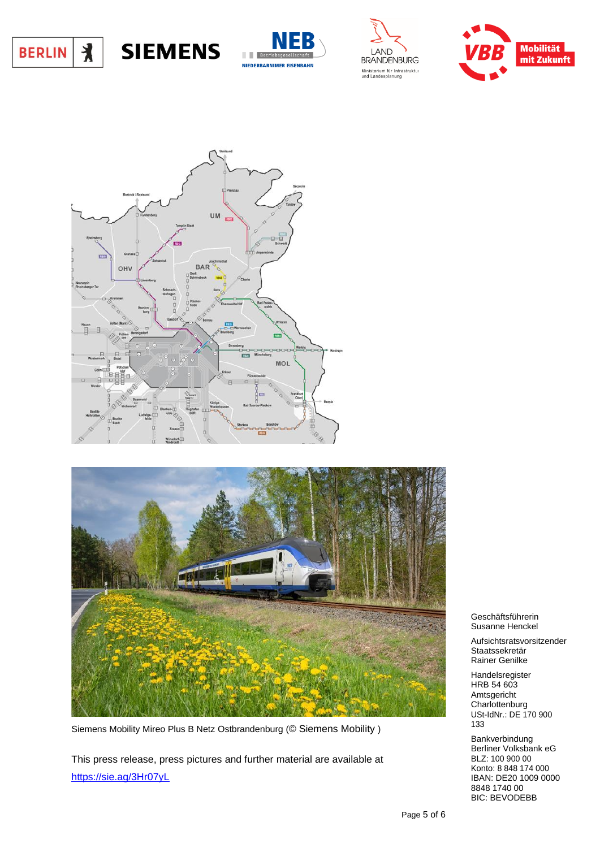











Siemens Mobility Mireo Plus B Netz Ostbrandenburg (© Siemens Mobility )

This press release, press pictures and further material are available at <https://sie.ag/3Hr07yL>

Geschäftsführerin Geschäftsführerin Susanne Henckel Susanne Henckel

Aufsichtsratsvorsitzender Aufsichtsratsvorsitzender Staatssekretär Staatssekretär Rainer Genilke

Handelsregister HRB 54 603 HRB 54 603 Amtsgericht Amtsgericht Charlottenburg  $U$ St-IdINT $\therefore$  DE 170 900  $\frac{1}{3}$ Bankverbindung Berliner Handelsregister **Charlottenburg** USt-IdNr.: DE 170 900 133

**Bankverbindung** Berliner Volksbank eG BLZ: 100 900 00 IBAN: DE20 1009 0000 Konto: 8 848 174 000 8848 1740 00 IBAN: DE20 1009 0000 8848 1740 00 BIC: BEVODEBB